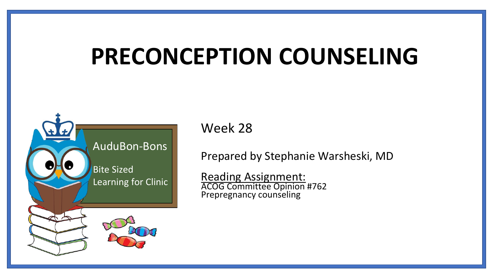# **PRECONCEPTION COUNSELING**



Week 28

Prepared by Stephanie Warsheski, MD

Reading Assignment: ACOG Committee Opinion #762 Prepregnancy counseling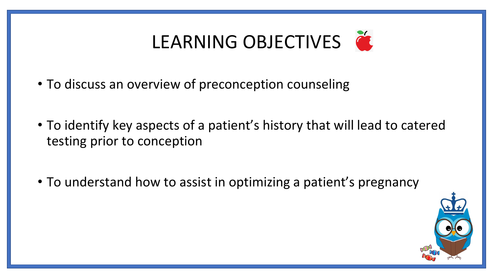# LEARNING OBJECTIVES

- To discuss an overview of preconception counseling
- To identify key aspects of a patient's history that will lead to catered testing prior to conception
- To understand how to assist in optimizing a patient's pregnancy

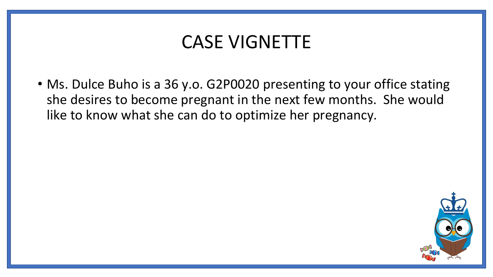### CASE VIGNETTE

• Ms. Dulce Buho is a 36 y.o. G2P0020 presenting to your office stating she desires to become pregnant in the next few months. She would like to know what she can do to optimize her pregnancy.

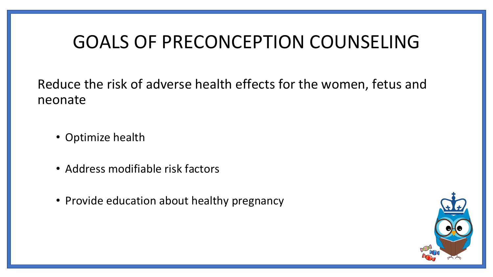## GOALS OF PRECONCEPTION COUNSELING

Reduce the risk of adverse health effects for the women, fetus and neonate

- Optimize health
- Address modifiable risk factors
- Provide education about healthy pregnancy

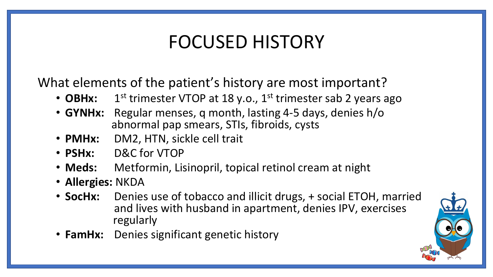# FOCUSED HISTORY

What elements of the patient's history are most important?

- **OBHx:** 1  $1<sup>st</sup>$  trimester VTOP at 18 y.o.,  $1<sup>st</sup>$  trimester sab 2 years ago
- **GYNHx:** Regular menses, q month, lasting 4-5 days, denies h/o abnormal pap smears, STIs, fibroids, cysts
- **PMHx:** DM2, HTN, sickle cell trait
- **PSHx:** D&C for VTOP
- **Meds:** Metformin, Lisinopril, topical retinol cream at night
- **Allergies:** NKDA
- **SocHx:** Denies use of tobacco and illicit drugs, + social ETOH, married and lives with husband in apartment, denies IPV, exercises regularly
- **FamHx:** Denies significant genetic history

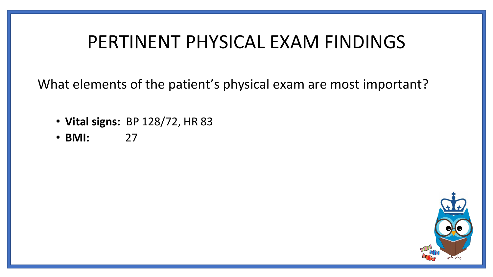### PERTINENT PHYSICAL EXAM FINDINGS

What elements of the patient's physical exam are most important?

- **Vital signs:** BP 128/72, HR 83
- **BMI:** 27

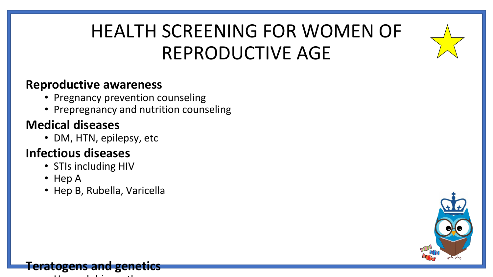# HEALTH SCREENING FOR WOMEN OF REPRODUCTIVE AGE

#### **Reproductive awareness**

- Pregnancy prevention counseling
- Prepregnancy and nutrition counseling

#### **Medical diseases**

• DM, HTN, epilepsy, etc

#### **Infectious diseases**

- STIs including HIV
- Hep A
- Hep B, Rubella, Varicella



#### **Teratogens and genetics**

• Hemoglobinopathy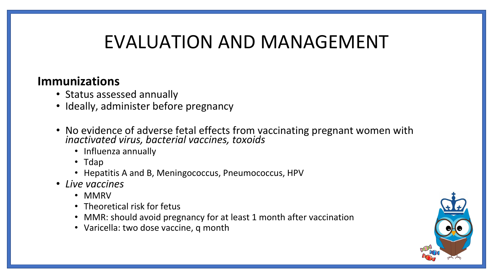## EVALUATION AND MANAGEMENT

#### **Immunizations**

- Status assessed annually
- Ideally, administer before pregnancy
- No evidence of adverse fetal effects from vaccinating pregnant women with *inactivated virus, bacterial vaccines, toxoids*
	- Influenza annually
	- Tdap
	- Hepatitis A and B, Meningococcus, Pneumococcus, HPV
- *Live vaccines* 
	- MMRV
	- Theoretical risk for fetus
	- MMR: should avoid pregnancy for at least 1 month after vaccination
	- Varicella: two dose vaccine, q month

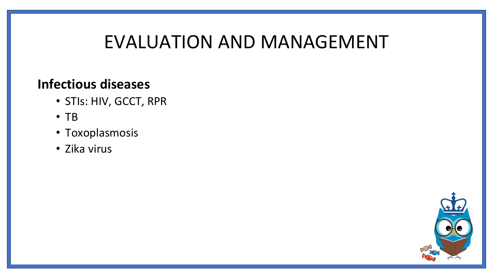### EVALUATION AND MANAGEMENT

#### **Infectious diseases**

- STIs: HIV, GCCT, RPR
- TB
- Toxoplasmosis
- Zika virus

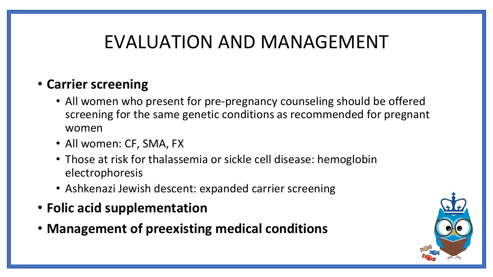# EVALUATION AND MANAGEMENT

#### • **Carrier screening**

- All women who present for pre-pregnancy counseling should be offered screening for the same genetic conditions as recommended for pregnant women
- All women: CF, SMA, FX
- Those at risk for thalassemia or sickle cell disease: hemoglobin electrophoresis
- Ashkenazi Jewish descent: expanded carrier screening
- **Folic acid supplementation**
- **Management of preexisting medical conditions**

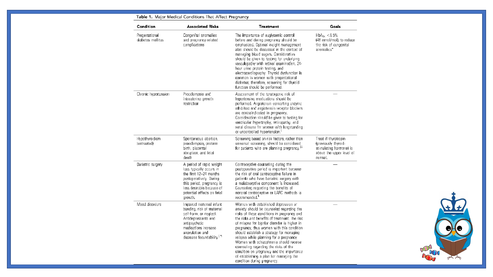| Condition                                                                                                                                                                                                                      | <b>Associated Risks</b>                                                                                                                                                                                      | <b>Treatment</b>                                                                                                                                                                                                                                                                                                                                                                                                                                                                                                                                                                | Goals                                                                                                          |  |
|--------------------------------------------------------------------------------------------------------------------------------------------------------------------------------------------------------------------------------|--------------------------------------------------------------------------------------------------------------------------------------------------------------------------------------------------------------|---------------------------------------------------------------------------------------------------------------------------------------------------------------------------------------------------------------------------------------------------------------------------------------------------------------------------------------------------------------------------------------------------------------------------------------------------------------------------------------------------------------------------------------------------------------------------------|----------------------------------------------------------------------------------------------------------------|--|
| Pregestational<br>diabetes mellitus                                                                                                                                                                                            | Congenital anomalies<br>and pregnancy-related<br>complications                                                                                                                                               | The importance of euglycemic control<br>before and during pregnancy should be<br>emphasized. Optimal weight management<br>also should be discussed in the context of<br>managing blood sugars. Consideration<br>should be given to testing for underlying<br>vasculopathy with retinal examination, 24-<br>hour urine protein testing, and<br>electrocardiography. Thyroid dysfunction is<br>common in women with pregestational<br>diabetes; therefore, screening for thyroid<br>function should be performed.                                                                 | $HbA_{10} < 6.5%$<br>(48 mmol/mol), to reduce<br>the risk of connenital<br>anomalics*                          |  |
| Chronic hypertension                                                                                                                                                                                                           | Preeclampsia and<br>intrauterine growth<br>restriction                                                                                                                                                       | Assessment of the teratogenic risk of<br>hypertensive medications should be<br>performed. Angiotensin converting enzyme<br>inhibitors and angiotensin receptor blockers<br>are contraindicated in pregnancy.<br>Consideration should be given to testing for<br>ventricular hypertrophy, retinopathy, and<br>renal disease for women with longstanding<br>or uncontrolled hypertension. <sup>1</sup>                                                                                                                                                                            |                                                                                                                |  |
| Hypothyroidism<br>{untreated}                                                                                                                                                                                                  | Spontaneous abortion,<br>preeclampsia, preterm<br>birth, placental<br>abruption, and fetal<br>death                                                                                                          | Screening based on risk factors, rather than<br>universal screening, should be considered<br>for patients who are planning pregnancy. <sup>12</sup>                                                                                                                                                                                                                                                                                                                                                                                                                             | Treat if thyrotropin<br>(previously thyroid-<br>stimulating hormone) is<br>above the upper level of<br>normal. |  |
| Bariatric surgery                                                                                                                                                                                                              | A period of rapid weight<br>loss typically occurs in<br>the first 12-24 months<br>postoperatively. During<br>this period, pregnancy is<br>less desirable because of<br>potential effects on fetal<br>growth. | Contraceptive counseling during the<br>postoperative period is important because<br>the risk of oral contraceptive failure in<br>patients who have bariatric surgery with<br>a malabsorptive component is increased.<br>Counseling regarding the benefits of<br>nonoral contraceptive or LARC methods is<br>recommended. <sup>8</sup>                                                                                                                                                                                                                                           |                                                                                                                |  |
| Mood disorders<br>Impaired maternal infant<br>bonding, risk of maternal<br>self-harm, or neglect.<br>Antidepressants and<br>antipsychotic<br>medications increase<br>anovulation and<br>decrease fecundability. <sup>[1]</sup> |                                                                                                                                                                                                              | Women with established depression or<br>anxiety should be counseled regarding the<br>risks of these conditions in pregnancy and<br>the risks and benefits of treatment. The risk<br>of relapse for bipolar disorder is higher in<br>pregnancy, thus women with this condition<br>should establish a strategy for managing<br>relapse while planning for a pregnancy.<br>Women with schizophrenia should receive<br>counseling regarding the risks of the<br>condition on pregnancy and the importance<br>of establishing a plan for managing the<br>condition during pregnancy. |                                                                                                                |  |



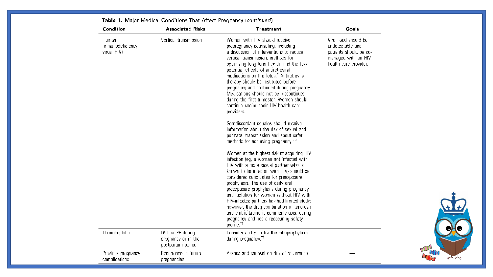| Condition                                | <b>Associated Risks</b>                                      | <b>Treatment</b>                                                                                                                                                                                                                                                                                                                                                                                                                                                                                                                                                 | Goals                                                                                                              |
|------------------------------------------|--------------------------------------------------------------|------------------------------------------------------------------------------------------------------------------------------------------------------------------------------------------------------------------------------------------------------------------------------------------------------------------------------------------------------------------------------------------------------------------------------------------------------------------------------------------------------------------------------------------------------------------|--------------------------------------------------------------------------------------------------------------------|
| Human<br>immunodeficiency<br>virus (HIV) | Vertical transmission                                        | Women with HIV should receive<br>prepregnancy counseling, including<br>a discussion of interventions to reduce<br>vertical transmission, methods for<br>optimizing long-term health, and the few<br>potential effects of antiretroviral<br>medications on the fetus. <sup>#</sup> Antiretroviral<br>therapy should be instituted before<br>pregnancy and continued during pregnancy.<br>Medications should not be discontinued<br>during the first trimester. Women should<br>continue seeing their HIV health care<br>providers.                                | Viral load should be<br>undetectable and<br>patients should be co-<br>managed with an HIV<br>health care provider. |
|                                          |                                                              | Serodiscordant couples should receive<br>information about the risk of sexual and<br>perinatal transmission and about safer<br>methods for achieving pregnancy.**                                                                                                                                                                                                                                                                                                                                                                                                |                                                                                                                    |
|                                          |                                                              | Women at the highest risk of acquiring HIV<br>infection (eg, a woman not infected with<br>HIV with a male sexual partner who is<br>known to be infected with HIV) should be<br>considered candidates for preexposure<br>prophylaxis. The use of daily oral<br>preexposure prophylaxis during pregnancy<br>and lactation for women without HIV with<br>HIV-infected partners has had limited study;<br>however, the drug combination of tenofovir<br>and emtricitabine is commonly used during<br>pregnancy and has a reassuring safety<br>profile. <sup>4t</sup> |                                                                                                                    |
| Thrombophilia                            | DVT or PE during<br>pregnancy or in the<br>postpartum period | Consider and plan for thromboprophylaxis<br>during pregnancy. <sup>##</sup>                                                                                                                                                                                                                                                                                                                                                                                                                                                                                      |                                                                                                                    |
| Previous pregnancy<br>complications      | Recurrence in future<br>pregnancies                          | Assess and counsel on risk of recurrence.                                                                                                                                                                                                                                                                                                                                                                                                                                                                                                                        |                                                                                                                    |

Table 1. Major Medical Conditions That Affect Pregnancy (continued)

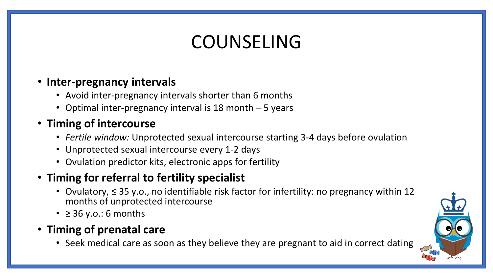# COUNSELING

#### • **Inter-pregnancy intervals**

- Avoid inter-pregnancy intervals shorter than 6 months
- Optimal inter-pregnancy interval is 18 month 5 years

#### • **Timing of intercourse**

- *Fertile window:* Unprotected sexual intercourse starting 3-4 days before ovulation
- Unprotected sexual intercourse every 1-2 days
- Ovulation predictor kits, electronic apps for fertility

#### • **Timing for referral to fertility specialist**

- Ovulatory, ≤ 35 y.o., no identifiable risk factor for infertility: no pregnancy within 12 months of unprotected intercourse
- $\geq$  36 y.o.: 6 months
- **Timing of prenatal care** 
	- Seek medical care as soon as they believe they are pregnant to aid in correct dating

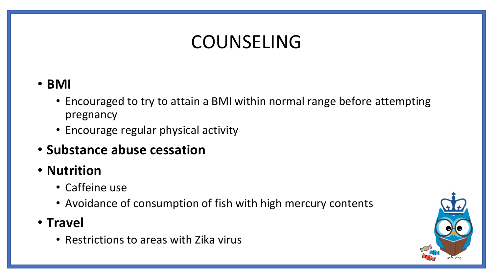# COUNSELING

#### • **BMI**

- Encouraged to try to attain a BMI within normal range before attempting pregnancy
- Encourage regular physical activity
- **Substance abuse cessation**
- **Nutrition**
	- Caffeine use
	- Avoidance of consumption of fish with high mercury contents
- **Travel** 
	- Restrictions to areas with Zika virus

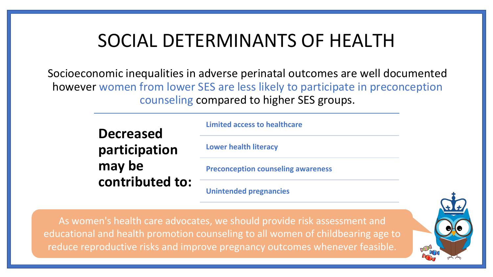## SOCIAL DETERMINANTS OF HEALTH

Socioeconomic inequalities in adverse perinatal outcomes are well documented however women from lower SES are less likely to participate in preconception counseling compared to higher SES groups.

> **Decreased participation may be contributed to:**

**Limited access to healthcare**

**Lower health literacy** 

**Preconception counseling awareness**

**Unintended pregnancies** 

As women's health care advocates, we should provide risk assessment and educational and health promotion counseling to all women of childbearing age to reduce reproductive risks and improve pregnancy outcomes whenever feasible.

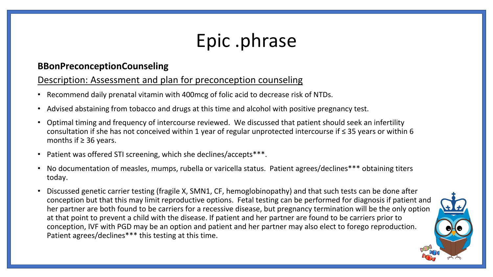# Epic .phrase

#### **BBonPreconceptionCounseling**

#### Description: Assessment and plan for preconception counseling

- Recommend daily prenatal vitamin with 400mcg of folic acid to decrease risk of NTDs.
- Advised abstaining from tobacco and drugs at this time and alcohol with positive pregnancy test.
- Optimal timing and frequency of intercourse reviewed. We discussed that patient should seek an infertility consultation if she has not conceived within 1 year of regular unprotected intercourse if ≤ 35 years or within 6 months if  $\geq$  36 years.
- Patient was offered STI screening, which she declines/accepts\*\*\*.
- No documentation of measles, mumps, rubella or varicella status. Patient agrees/declines\*\*\* obtaining titers today.
- Discussed genetic carrier testing (fragile X, SMN1, CF, hemoglobinopathy) and that such tests can be done after conception but that this may limit reproductive options. Fetal testing can be performed for diagnosis if patient and her partner are both found to be carriers for a recessive disease, but pregnancy termination will be the only option at that point to prevent a child with the disease. If patient and her partner are found to be carriers prior to conception, IVF with PGD may be an option and patient and her partner may also elect to forego reproduction. Patient agrees/declines\*\*\* this testing at this time.

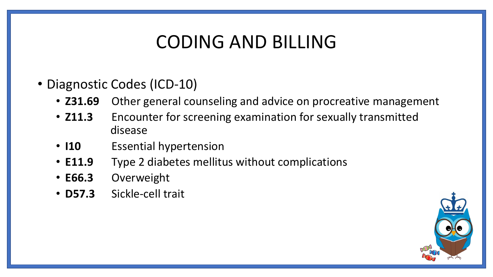# CODING AND BILLING

- Diagnostic Codes (ICD-10)
	- **Z31.69** Other general counseling and advice on procreative management
	- **Z11.3** Encounter for screening examination for sexually transmitted disease
	- **I10** Essential hypertension
	- **E11.9** Type 2 diabetes mellitus without complications
	- **E66.3** Overweight
	- **D57.3** Sickle-cell trait

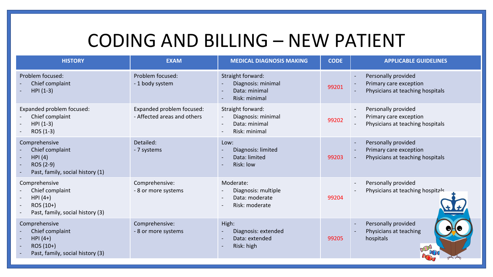### CODING AND BILLING – NEW PATIENT

| <b>HISTORY</b>                                                                                  | <b>EXAM</b>                                              | <b>MEDICAL DIAGNOSIS MAKING</b>                                                                  | <b>CODE</b> | <b>APPLICABLE GUIDELINES</b>                                                                                  |
|-------------------------------------------------------------------------------------------------|----------------------------------------------------------|--------------------------------------------------------------------------------------------------|-------------|---------------------------------------------------------------------------------------------------------------|
| Problem focused:<br>Chief complaint<br>$HPI (1-3)$                                              | Problem focused:<br>- 1 body system                      | Straight forward:<br>Diagnosis: minimal<br>Data: minimal<br>Risk: minimal                        | 99201       | Personally provided<br>Primary care exception<br>Physicians at teaching hospitals                             |
| Expanded problem focused:<br>Chief complaint<br>$HPI (1-3)$<br>ROS (1-3)                        | Expanded problem focused:<br>- Affected areas and others | Straight forward:<br>Diagnosis: minimal<br>Data: minimal<br>Risk: minimal                        | 99202       | Personally provided<br>Primary care exception<br>Physicians at teaching hospitals                             |
| Comprehensive<br>Chief complaint<br>HPI(4)<br>ROS (2-9)<br>Past, family, social history (1)     | Detailed:<br>- 7 systems                                 | Low:<br>Diagnosis: limited<br>$\sim$<br>Data: limited<br>Risk: low                               | 99203       | Personally provided<br>$\overline{\phantom{a}}$<br>Primary care exception<br>Physicians at teaching hospitals |
| Comprehensive<br>Chief complaint<br>$HPI(4+)$<br>$ROS(10+)$<br>Past, family, social history (3) | Comprehensive:<br>- 8 or more systems                    | Moderate:<br>Diagnosis: multiple<br>Data: moderate<br>$\overline{\phantom{a}}$<br>Risk: moderate | 99204       | Personally provided<br>$\overline{\phantom{a}}$<br>Physicians at teaching hospitals                           |
| Comprehensive<br>Chief complaint<br>$HPI(4+)$<br>ROS (10+)<br>Past, family, social history (3)  | Comprehensive:<br>- 8 or more systems                    | High:<br>Diagnosis: extended<br>Data: extended<br>Risk: high                                     | 99205       | Personally provided<br>Physicians at teaching<br>hospitals                                                    |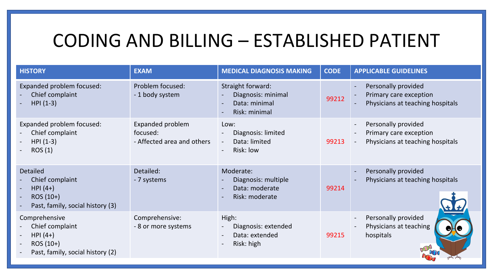## CODING AND BILLING – ESTABLISHED PATIENT

| <b>HISTORY</b>                                                                                    | <b>EXAM</b>                                                | <b>MEDICAL DIAGNOSIS MAKING</b>                                                                                                                  | <b>CODE</b> | <b>APPLICABLE GUIDELINES</b>                                                      |
|---------------------------------------------------------------------------------------------------|------------------------------------------------------------|--------------------------------------------------------------------------------------------------------------------------------------------------|-------------|-----------------------------------------------------------------------------------|
| Expanded problem focused:<br>Chief complaint<br>$HPI (1-3)$                                       | Problem focused:<br>- 1 body system                        | Straight forward:<br>Diagnosis: minimal<br>Data: minimal<br>$\overline{\phantom{a}}$<br>Risk: minimal                                            | 99212       | Personally provided<br>Primary care exception<br>Physicians at teaching hospitals |
| Expanded problem focused:<br>Chief complaint<br>$HPI (1-3)$<br>ROS(1)                             | Expanded problem<br>focused:<br>- Affected area and others | Low:<br>Diagnosis: limited<br>$\overline{\phantom{a}}$<br>Data: limited<br>$\overline{\phantom{a}}$<br>Risk: low<br>$\overline{\phantom{a}}$     | 99213       | Personally provided<br>Primary care exception<br>Physicians at teaching hospitals |
| <b>Detailed</b><br>Chief complaint<br>$HPI(4+)$<br>$ROS(10+)$<br>Past, family, social history (3) | Detailed:<br>- 7 systems                                   | Moderate:<br>Diagnosis: multiple<br>$\overline{\phantom{a}}$<br>Data: moderate<br>Risk: moderate<br>$\overline{\phantom{a}}$                     | 99214       | Personally provided<br>Physicians at teaching hospitals                           |
| Comprehensive<br>Chief complaint<br>$HPI(4+)$<br>$ROS(10+)$<br>Past, family, social history (2)   | Comprehensive:<br>- 8 or more systems                      | High:<br>Diagnosis: extended<br>$\overline{\phantom{a}}$<br>Data: extended<br>$\overline{\phantom{a}}$<br>Risk: high<br>$\overline{\phantom{a}}$ | 99215       | Personally provided<br>Physicians at teaching<br>hospitals                        |